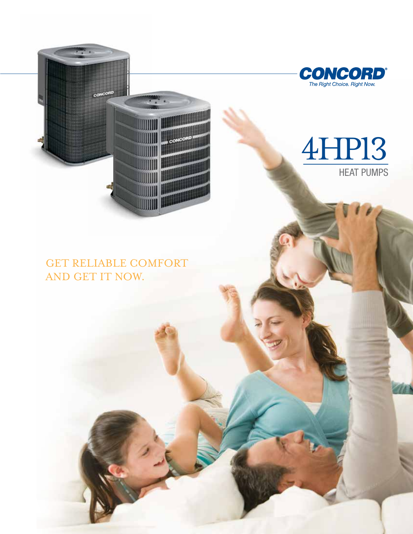

# 4HP13 HEAT PUMPS

**CONCORD**<sup>®</sup><br>The Right Choice. Right Now.

## GET RELIABLE COMFORT AND GET IT NOW.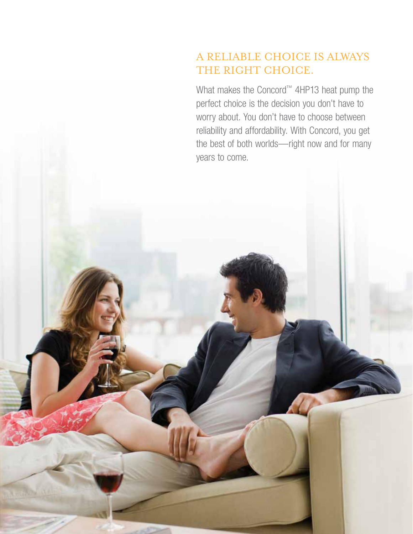## A reliable choice is always THE RIGHT CHOICE.

What makes the Concord™ 4HP13 heat pump the perfect choice is the decision you don't have to worry about. You don't have to choose between reliability and affordability. With Concord, you get the best of both worlds—right now and for many years to come.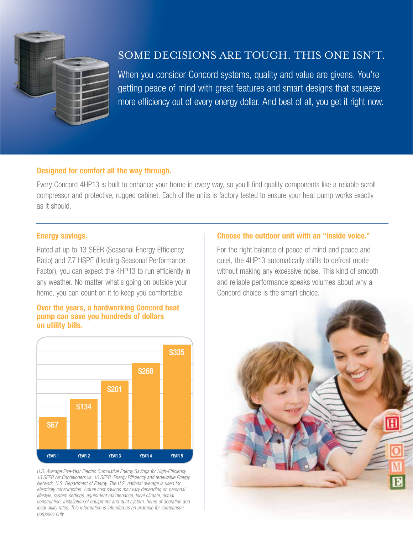

## Some decisions are tough. This one isn't.

When you consider Concord systems, quality and value are givens. You're getting peace of mind with great features and smart designs that squeeze more efficiency out of every energy dollar. And best of all, you get it right now.

### Designed for comfort all the way through.

Every Concord 4HP13 is built to enhance your home in every way, so you'll find quality components like a reliable scroll compressor and protective, rugged cabinet. Each of the units is factory tested to ensure your heat pump works exactly as it should.

### Energy savings.

Rated at up to 13 SEER (Seasonal Energy Efficiency Ratio) and 7.7 HSPF (Heating Seasonal Performance Factor), you can expect the 4HP13 to run efficiently in any weather. No matter what's going on outside your home, you can count on it to keep you comfortable.

#### Over the years, a hardworking Concord heat pump can save you hundreds of dollars on utility bills.



*U.S. Average Five-Year Electric Cumulative Energy Savings for High-Efficiency 13 SEER Air Conditioners vs. 10 SEER. Energy Efficiency and renewable Energy Network, U.S. Department of Energy. The U.S. national average is used for electricity consumption. Actual cost savings may vary depending on personal lifestyle, system settings, equipment maintenance, local climate, actual construction, installation of equipment and duct system, hours of operation and local utility rates. This information is intended as an example for comparison purposes only.*

#### Choose the outdoor unit with an "inside voice."

For the right balance of peace of mind and peace and quiet, the 4HP13 automatically shifts to defrost mode without making any excessive noise. This kind of smooth and reliable performance speaks volumes about why a Concord choice is the smart choice.